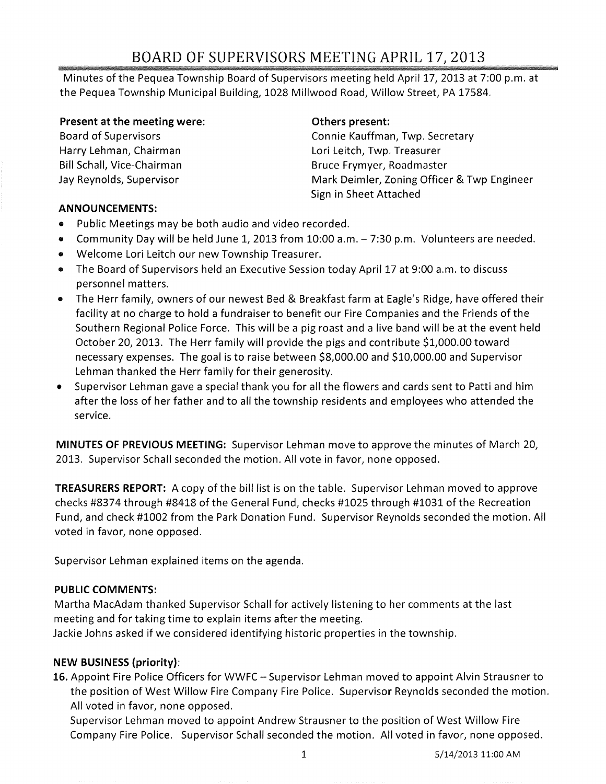# BOARD OF SUPERVISORS MEETING APRIL 17,2013

Minutes of the Pequea Township Board of Supervisors meeting held April 17, 2013 at 7:00 p.m. at the Pequea Township Municipal Building, 1028 Millwood Road, Willow Street, PA 17584.

#### Present at the meeting were:

Board of Supervisors Harry Lehman, Chairman Bill Schall, Vice-Chairman Jay Reynolds, Supervisor

#### Others present:

Connie Kauffman, Twp. Secretary Lori Leitch, Twp. Treasurer Bruce Frymyer, Roadmaster Mark Deimler, Zoning Officer & Twp Engineer Sign in Sheet Attached

#### ANNOUNCEMENTS:

- Public Meetings may be both audio and video recorded.
- Community Day will be held June 1, 2013 from 10:00 a.m. 7:30 p.m. Volunteers are needed.
- Welcome Lori Leitch our new Township Treasurer.
- The Board of Supervisors held an Executive Session today April 17 at 9:00 a.m. to discuss personnel matters.
- The Herr family, owners of our newest Bed & Breakfast farm at Eagle's Ridge, have offered their facility at no charge to hold a fundraiser to benefit our Fire Companies and the Friends of the Southern Regional Police Force. This will be a pig roast and a live band will be at the event held October 20, 2013. The Herr family will provide the pigs and contribute \$1,000.00 toward necessary expenses. The goal is to raise between \$8,000.00 and \$10,000.00 and Supervisor Lehman thanked the Herr family for their generosity.
- Supervisor Lehman gave a special thank you for all the flowers and cards sent to Patti and him after the loss of her father and to all the township residents and employees who attended the service.

MINUTES OF PREVIOUS MEETING: Supervisor Lehman move to approve the minutes of March 20, 2013. Supervisor Schall seconded the motion. All vote in favor, none opposed.

TREASURERS REPORT: A copy of the bill list is on the table. Supervisor Lehman moved to approve checks #8374 through #8418 of the General Fund, checks #1025 through #1031 of the Recreation Fund, and check #1002 from the Park Donation Fund. Supervisor Reynolds seconded the motion. All voted in favor, none opposed.

Supervisor Lehman explained items on the agenda.

#### PUBLIC COMMENTS:

Martha MacAdam thanked Supervisor Schall for actively listening to her comments at the last meeting and for taking time to explain items after the meeting.

Jackie Johns asked if we considered identifying historic properties in the township.

## NEW BUSINESS (priority):

16. Appoint Fire Police Officers for WWFC - Supervisor Lehman moved to appoint Alvin Strausner to the position of West Willow Fire Company Fire Police. Supervisor Reynolds seconded the motion. All voted in favor, none opposed.

Supervisor Lehman moved to appoint Andrew Strausner to the position of West Willow Fire Company Fire Police. Supervisor Schall seconded the motion. All voted in favor, none opposed.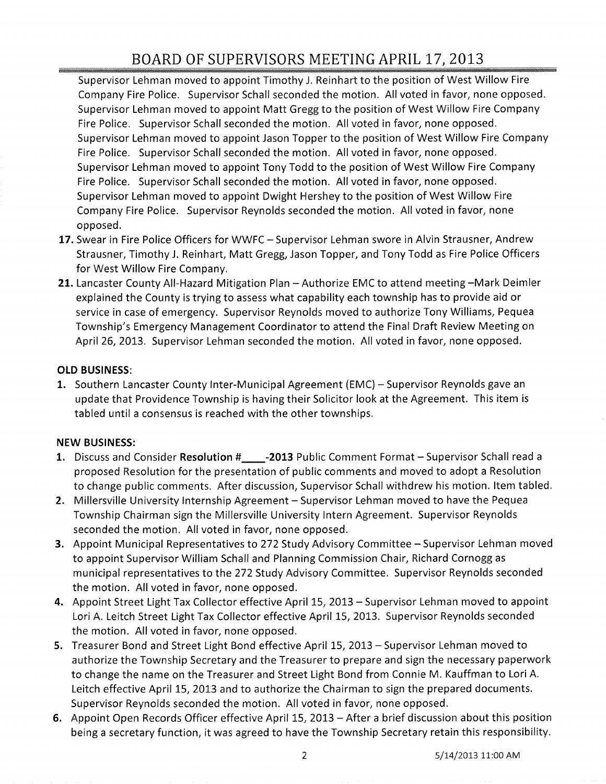# BOARD OF SUPERVISORS MEETING APRIL 17} 2013

Supervisor Lehman moved to appoint Timothy J. Reinhart to the position of West Willow Fire Company Fire Police. Supervisor Schall seconded the motion. All voted in favor, none opposed. Supervisor Lehman moved to appoint Matt Gregg to the position of West Willow Fire Company Fire Police. Supervisor Schall seconded the motion. All voted in favor, none opposed. Supervisor Lehman moved to appoint Jason Topper to the position of West Willow Fire Company Fire Police. Supervisor Schall seconded the motion. All voted in favor, none opposed. Supervisor Lehman moved to appoint Tony Todd to the position of West Willow Fire Company Fire Police. Supervisor Schall seconded the motion. All voted in favor, none opposed. Supervisor Lehman moved to appoint Dwight Hershey to the position of West Willow Fire Company Fire Police. Supervisor Reynolds seconded the motion. All voted in favor, none opposed.

- 17. Swear in Fire Police Officers for WWFC Supervisor Lehman swore in Alvin Strausner, Andrew Strausner, Timothy J. Reinhart, Matt Gregg, Jason Topper, and Tony Todd as Fire Police Officers for West Willow Fire Company.
- 21. Lancaster County All-Hazard Mitigation Plan Authorize EMC to attend meeting -Mark Deimler explained the County is trying to assess what capability each township has to provide aid or service in case of emergency. Supervisor Reynolds moved to authorize Tony Williams, Pequea Township's Emergency Management Coordinator to attend the Final Draft Review Meeting on April 26, 2013. Supervisor Lehman seconded the motion. All voted in favor, none opposed.

## OLD BUSINESS:

1. Southern Lancaster County Inter-Municipal Agreement (EMC) – Supervisor Reynolds gave an update that Providence Township is having their Solicitor look at the Agreement. This item is tabled until a consensus is reached with the other townships.

## NEW BUSINESS:

- 1. Discuss and Consider Resolution #\_\_\_\_\_-2013 Public Comment Format Supervisor Schall read a proposed Resolution for the presentation of public comments and moved to adopt a Resolution to change public comments. After discussion, Supervisor Schall withdrew his motion. Item tabled.
- 2. Millersville University Internship Agreement Supervisor Lehman moved to have the Pequea Township Chairman sign the Millersville University Intern Agreement. Supervisor Reynolds seconded the motion. All voted in favor, none opposed.
- 3. Appoint Municipal Representatives to 272 Study Advisory Committee Supervisor Lehman moved to appoint Supervisor William Schall and Planning Commission Chair, Richard Cornogg as municipal representatives to the 272 Study Advisory Committee. Supervisor Reynolds seconded the motion. All voted in favor, none opposed.
- 4. Appoint Street Light Tax Collector effective April 15, 2013 Supervisor Lehman moved to appoint Lori A. Leitch Street Light Tax Collector effective April 15, 2013. Supervisor Reynolds seconded the motion. All voted in favor, none opposed.
- 5. Treasurer Bond and Street Light Bond effective April 15, 2013 Supervisor Lehman moved to authorize the Township Secretary and the Treasurer to prepare and sign the necessary paperwork to change the name on the Treasurer and Street Light Bond from Connie M. Kauffman to Lori A. Leitch effective April 15, 2013 and to authorize the Chairman to sign the prepared documents. Supervisor Reynolds seconded the motion. All voted in favor, none opposed.
- 6. Appoint Open Records Officer effective April 15, 2013 After a brief discussion about this position being a secretary function, it was agreed to have the Township Secretary retain this responsibility.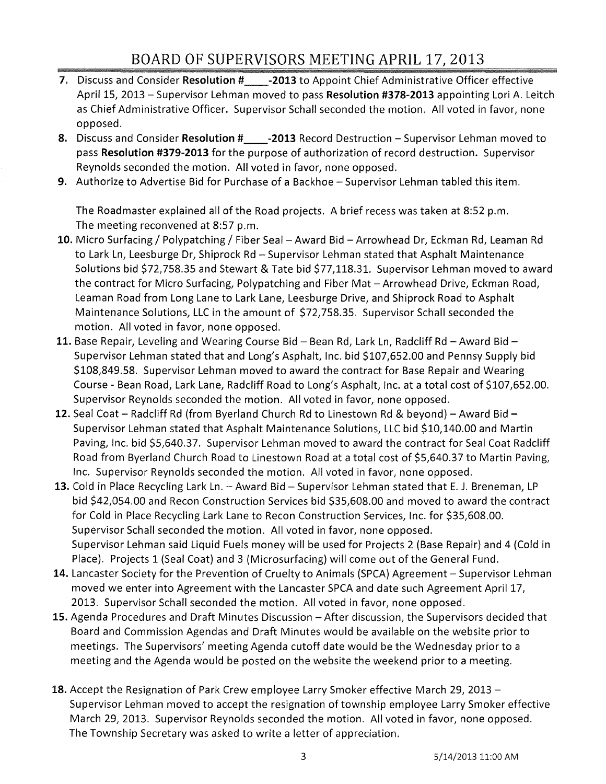- 7. Discuss and Consider Resolution # -2013 to Appoint Chief Administrative Officer effective April 15, 2013 - Supervisor Lehman moved to pass Resolution #378-2013 appointing Lori A. Leitch as Chief Administrative Officer. Supervisor Schall seconded the motion. All voted in favor, none opposed.
- 8. Discuss and Consider Resolution #\_\_\_\_-2013 Record Destruction Supervisor Lehman moved to pass Resolution #379-2013 for the purpose of authorization of record destruction. Supervisor Reynolds seconded the motion. All voted in favor, none opposed.
- 9. Authorize to Advertise Bid for Purchase of a Backhoe Supervisor Lehman tabled this item.

The Roadmaster explained all of the Road projects. A brief recess was taken at 8:52 p.m. The meeting reconvened at 8:57 p.m.

- 10. Micro Surfacing / Polypatching / Fiber Seal Award Bid Arrowhead Dr, Eckman Rd, Leaman Rd to Lark Ln, Leesburge Dr, Shiprock Rd - Supervisor Lehman stated that Asphalt Maintenance Solutions bid \$72,758.35 and Stewart & Tate bid \$77,118.31. Supervisor Lehman moved to award the contract for Micro Surfacing, Polypatching and Fiber Mat - Arrowhead Drive, Eckman Road, Leaman Road from Long Lane to Lark Lane, Leesburge Drive, and Shiprock Road to Asphalt Maintenance Solutions, LLC in the amount of \$72,758.35. Supervisor Schall seconded the motion. All voted in favor, none opposed.
- 11. Base Repair, Leveling and Wearing Course Bid Bean Rd, Lark Ln, Radcliff Rd Award Bid -Supervisor Lehman stated that and Long's Asphalt, Inc. bid \$107,652.00 and Pennsy Supply bid \$108,849.58. Supervisor Lehman moved to award the contract for Base Repair and Wearing Course - Bean Road, Lark Lane, Radcliff Road to Long's Asphalt, Inc. at a total cost of \$107,652.00. Supervisor Reynolds seconded the motion. All voted in favor, none opposed.
- 12. Seal Coat Radcliff Rd (from Byerland Church Rd to Linestown Rd & beyond) Award Bid -Supervisor Lehman stated that Asphalt Maintenance Solutions, LLC bid \$10,140.00 and Martin Paving, Inc. bid \$5,640.37. Supervisor Lehman moved to award the contract for Seal Coat Radcliff Road from Byerland Church Road to Linestown Road at a total cost of \$5,640.37 to Martin Paving, Inc. Supervisor Reynolds seconded the motion. All voted in favor, none opposed.
- 13. Cold in Place Recycling Lark Ln. Award Bid Supervisor Lehman stated that E. J. Breneman, LP bid \$42,054.00 and Recon Construction Services bid \$35,608.00 and moved to award the contract for Cold in Place Recycling Lark Lane to Recon Construction Services, Inc. for \$35,608.00. Supervisor Schall seconded the motion. All voted in favor, none opposed. Supervisor Lehman said Liquid Fuels money will be used for Projects 2 (Base Repair) and 4 (Cold in Place). Projects 1 (Seal Coat) and 3 (Microsurfacing) will come out of the General Fund.
- 14. Lancaster Society for the Prevention of Cruelty to Animals (SPCA) Agreement Supervisor Lehman moved we enter into Agreement with the Lancaster SPCA and date such Agreement April 17, 2013. Supervisor Schall seconded the motion. All voted in favor, none opposed.
- 15. Agenda Procedures and Draft Minutes Discussion After discussion, the Supervisors decided that Board and Commission Agendas and Draft Minutes would be available on the website prior to meetings. The Supervisors' meeting Agenda cutoff date would be the Wednesday prior to a meeting and the Agenda would be posted on the website the weekend prior to a meeting.
- 18. Accept the Resignation of Park Crew employee Larry Smoker effective March 29, 2013 -Supervisor Lehman moved to accept the resignation of township employee Larry Smoker effective March 29, 2013. Supervisor Reynolds seconded the motion. All voted in favor, none opposed. The Township Secretary was asked to write a letter of appreciation.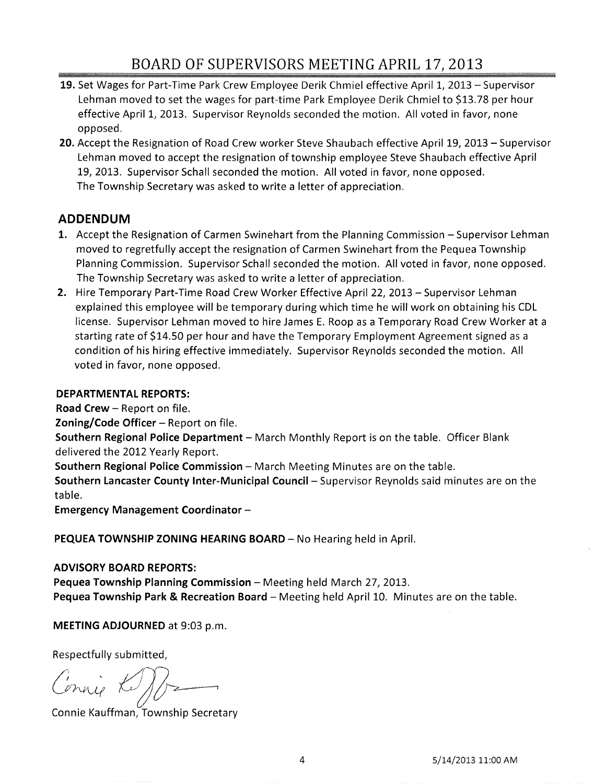# BOARD OF SUPERVISORS MEETING APRIL 17, 2013

- 19. Set Wages for Part-Time Park Crew Employee Derik Chmiel effective April 1, 2013 Supervisor Lehman moved to set the wages for part-time Park Employee Derik Chmiel to \$13.78 per hour effective April 1, 2013. Supervisor Reynolds seconded the motion. All voted in favor, none opposed.
- **20.** Accept the Resignation of Road Crew worker Steve Shaubach effective April 19, 2013 Supervisor Lehman moved to accept the resignation of township employee Steve Shaubach effective April 19, 2013. Supervisor Schall seconded the motion. All voted in favor, none opposed. The Township Secretary was asked to write a letter of appreciation.

## **ADDENDUM**

- 1. Accept the Resignation of Carmen Swinehart from the Planning Commission Supervisor Lehman moved to regretfully accept the resignation of Carmen Swinehart from the Pequea Township Planning Commission. Supervisor Schall seconded the motion. All voted in favor, none opposed. The Township Secretary was asked to write a letter of appreciation.
- **2.** Hire Temporary Part-Time Road Crew Worker Effective April 22, 2013 Supervisor Lehman explained this employee will be temporary during which time he will work on obtaining his CDL license. Supervisor Lehman moved to hire James E. Roop as a Temporary Road Crew Worker at a starting rate of \$14.50 per hour and have the Temporary Employment Agreement signed as a condition of his hiring effective immediately. Supervisor Reynolds seconded the motion. All voted in favor, none opposed.

## **DEPARTMENTAL REPORTS:**

**Road Crew - Report on file.** 

**Zoning/Code Officer** - Report on file.

**Southern Regional Police Department** – March Monthly Report is on the table. Officer Blank delivered the 2012 Yearly Report.

**Southern Regional Police Commission - March Meeting Minutes are on the table.** 

**Southern Lancaster County Inter-Municipal Council-** Supervisor Reynolds said minutes are on the table.

**Emergency Management Coordinator -**

PEQUEA TOWNSHIP ZONING HEARING BOARD - No Hearing held in April.

## **ADVISORY BOARD REPORTS:**

**Pequea Township Planning Commission** – Meeting held March 27, 2013. Pequea Township Park & Recreation Board - Meeting held April 10. Minutes are on the table.

**MEETING ADJOURNED** at 9:03 p.m.

Respectfully submitted,

 $\mathbb{Z}/\mathbb{Z}$ 

Connie Kauffman, Township Secretary